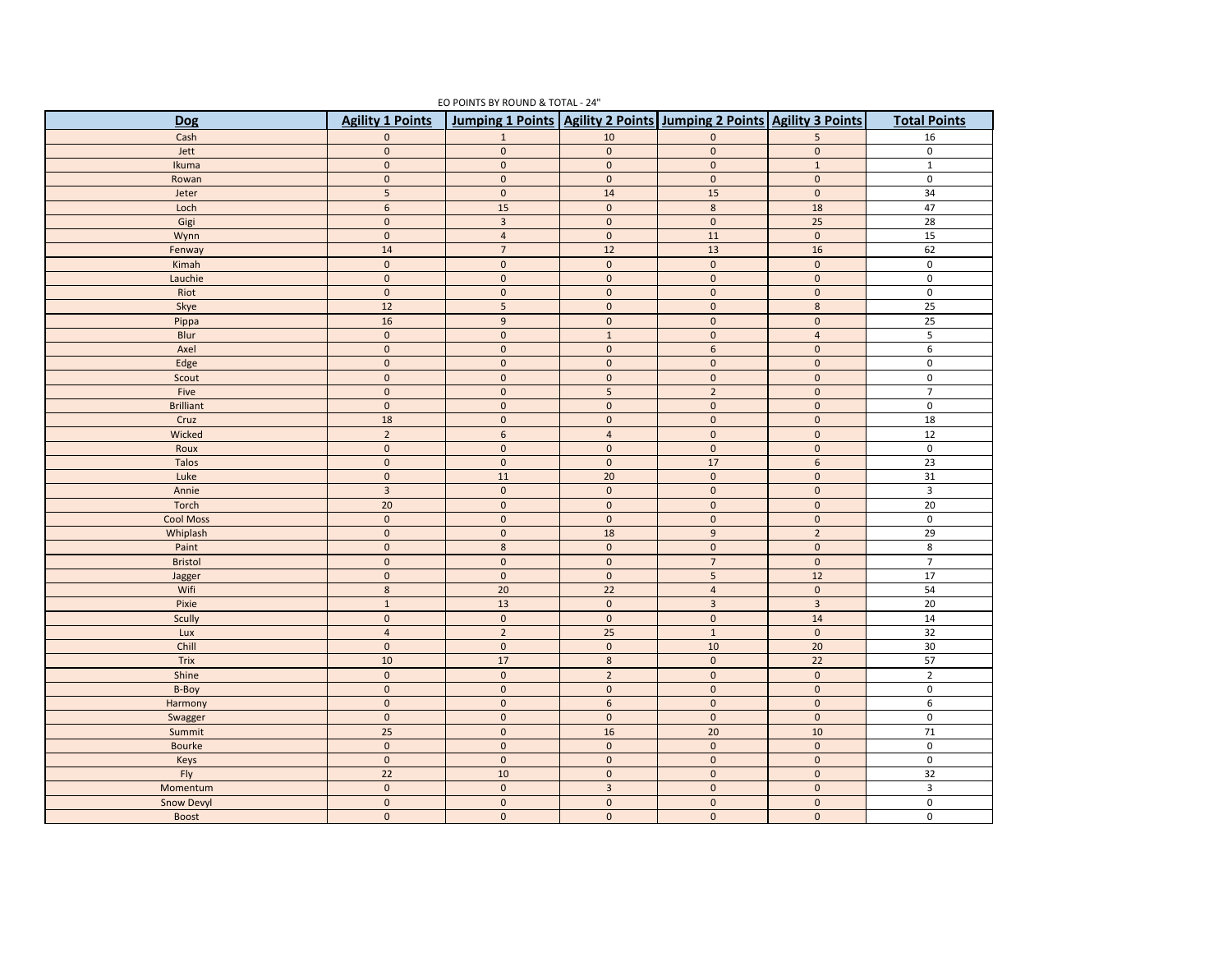| <b>Dog</b>        | <b>Agility 1 Points</b> | Jumping 1 Points Agility 2 Points Jumping 2 Points Agility 3 Points |                         |                         |                         | <b>Total Points</b>     |
|-------------------|-------------------------|---------------------------------------------------------------------|-------------------------|-------------------------|-------------------------|-------------------------|
| Cash              | $\mathbf{0}$            | $\mathbf{1}$                                                        | 10                      | $\mathbf{0}$            | 5                       | $16\,$                  |
| Jett              | $\mathsf{O}\xspace$     | $\mathsf{O}\xspace$                                                 | $\mathbf 0$             | $\mathsf{O}\xspace$     | $\mathsf{O}\xspace$     | $\mathsf 0$             |
| Ikuma             | $\mathbf 0$             | $\mathbf{0}$                                                        | $\mathbf 0$             | $\mathbf{0}$            | $1\,$                   | $\mathbf{1}$            |
| Rowan             | $\mathsf{O}\xspace$     | $\mathsf{O}\xspace$                                                 | $\mathbf 0$             | $\mathsf{O}\xspace$     | $\mathsf{O}\xspace$     | $\mathsf{O}\xspace$     |
| Jeter             | 5                       | $\mathbf 0$                                                         | 14                      | 15                      | $\mathbf 0$             | 34                      |
| Loch              | $6\,$                   | $15\,$                                                              | $\mathbf 0$             | $8\phantom{.}$          | 18                      | 47                      |
| Gigi              | $\pmb{0}$               | $\overline{\mathbf{3}}$                                             | $\mathbf 0$             | $\mathbf 0$             | 25                      | 28                      |
| Wynn              | $\mathbf 0$             | $\overline{4}$                                                      | $\mathbf 0$             | $11$                    | $\pmb{0}$               | $15$                    |
| Fenway            | 14                      | $\overline{7}$                                                      | 12                      | 13                      | 16                      | 62                      |
| Kimah             | $\overline{\mathbf{0}}$ | $\overline{\mathbf{0}}$                                             | $\overline{0}$          | $\overline{\mathbf{0}}$ | $\overline{\mathbf{0}}$ | $\overline{\mathbf{0}}$ |
| Lauchie           | $\mathbf 0$             | $\mathbf 0$                                                         | $\mathsf{O}\xspace$     | $\mathbf{0}$            | $\mathbf 0$             | 0                       |
| Riot              | $\pmb{0}$               | $\mathbf 0$                                                         | $\mathbf 0$             | $\mathsf{O}\xspace$     | $\mathsf{O}\xspace$     | 0                       |
| Skye              | 12                      | 5                                                                   | $\pmb{0}$               | $\mathbf 0$             | $\bf 8$                 | 25                      |
| Pippa             | 16                      | $\boldsymbol{9}$                                                    | $\mathbf 0$             | $\mathbf 0$             | $\mathbf{0}$            | $\overline{25}$         |
| Blur              | $\pmb{0}$               | $\mathsf{O}$                                                        | $\,1\,$                 | $\mathbf 0$             | $\overline{4}$          | $\mathsf S$             |
| Axel              | $\mathbf 0$             | $\mathsf 0$                                                         | $\mathsf{O}\xspace$     | 6                       | $\mathbf 0$             | 6                       |
| Edge              | $\pmb{0}$               | $\mathbf 0$                                                         | $\mathbf 0$             | $\mathbf 0$             | $\mathbf 0$             | $\overline{\mathbf{0}}$ |
| Scout             | $\pmb{0}$               | $\mathsf{O}$                                                        | $\mathbf 0$             | $\mathbf{0}$            | $\mathbf{0}$            | $\pmb{0}$               |
| Five              | $\mathbf 0$             | $\mathbf 0$                                                         | $\overline{\mathbf{5}}$ | $\overline{2}$          | $\pmb{0}$               | $\overline{7}$          |
| <b>Brilliant</b>  | $\mathbf 0$             | $\mathbf 0$                                                         | $\mathbf 0$             | $\mathbf{0}$            | $\mathbf 0$             | $\mathsf 0$             |
| Cruz              | 18                      | $\mathbf 0$                                                         | $\mathbf 0$             | $\mathbf{0}$            | $\mathbf 0$             | 18                      |
| Wicked            | $\overline{2}$          | $\sqrt{6}$                                                          | $\overline{4}$          | $\mathbf 0$             | $\pmb{0}$               | $12$                    |
| Roux              | $\mathbf 0$             | $\mathsf{O}$                                                        | $\mathsf{O}\xspace$     | $\mathbf 0$             | $\mathbf 0$             | $\pmb{0}$               |
| Talos             | $\overline{\textbf{0}}$ | $\pmb{0}$                                                           | $\pmb{0}$               | 17                      | $\sqrt{6}$              | 23                      |
| Luke              | $\mathbf 0$             | 11                                                                  | 20                      | $\mathbf{0}$            | $\mathbf 0$             | 31                      |
| Annie             | $\overline{\mathbf{3}}$ | $\mathsf{O}\xspace$                                                 | $\mathbf 0$             | $\mathbf 0$             | $\pmb{0}$               | $\mathbf{3}$            |
| Torch             | 20                      | $\mathsf{O}\xspace$                                                 | $\mathbf 0$             | $\mathbf{0}$            | $\pmb{0}$               | $\overline{20}$         |
| <b>Cool Moss</b>  | $\mathbf 0$             | $\mathsf{O}\xspace$                                                 | $\mathbf 0$             | $\mathbf 0$             | $\mathbf 0$             | $\overline{\mathbf{0}}$ |
| Whiplash          | $\mathbf{0}$            | $\mathbf 0$                                                         | 18                      | $\overline{9}$          | $\overline{2}$          | 29                      |
| Paint             | $\mathbf 0$             | $\bf 8$                                                             | $\mathbf 0$             | $\mathbf{0}$            | $\mathbf 0$             | 8                       |
| Bristol           | $\mathbf 0$             | $\mathsf{O}\xspace$                                                 | $\mathbf{0}$            | $\overline{7}$          | $\mathbf 0$             | $\overline{7}$          |
| Jagger            | $\pmb{0}$               | $\mathbf 0$                                                         | $\mathbf 0$             | $5\phantom{.0}$         | 12                      | 17                      |
| Wifi              | $\bf 8$                 | 20                                                                  | 22                      | $\overline{4}$          | $\mathsf{O}\xspace$     | 54                      |
| Pixie             | $\mathbf{1}$            | 13                                                                  | $\mathbf{0}$            | $\overline{3}$          | $\overline{3}$          | 20                      |
| Scully            | $\mathsf{O}\xspace$     | $\mathbf 0$                                                         | $\mathbf 0$             | $\mathsf{O}\xspace$     | 14                      | 14                      |
| Lux               | $\overline{4}$          | $\overline{2}$                                                      | 25                      | $\mathbf 1$             | $\mathbf{0}$            | 32                      |
| Chill             | $\mathbf 0$             | $\mathsf{o}$                                                        | $\mathbf 0$             | $10$                    | $\overline{20}$         | 30                      |
| Trix              | 10                      | 17                                                                  | $\bf 8$                 | $\mathbf{0}$            | 22                      | 57                      |
| Shine             | $\pmb{0}$               | $\mathbf 0$                                                         | $\overline{2}$          | $\mathsf{O}\xspace$     | $\mathsf{O}\xspace$     | $\overline{2}$          |
| B-Boy             | $\mathbf{0}$            | $\mathbf 0$                                                         | $\mathsf{O}\xspace$     | $\mathbf{0}$            | $\mathbf 0$             | 0                       |
| Harmony           | $\pmb{0}$               | $\mathbf 0$                                                         | $\,$ 6 $\,$             | $\mathbf{0}$            | $\mathsf{O}\xspace$     | 6                       |
| Swagger           | $\pmb{0}$               | $\mathbf 0$                                                         | $\mathbf 0$             | $\mathbf 0$             | $\mathbf 0$             | 0                       |
| Summit            | 25                      | $\mathbf 0$                                                         | 16                      | 20                      | 10                      | 71                      |
| Bourke            | $\pmb{0}$               | $\mathbf 0$                                                         | $\mathbf 0$             | $\mathbf 0$             | $\mathbf 0$             | $\overline{0}$          |
| Keys              | $\mathbf 0$             | $\mathsf{O}\xspace$                                                 | $\pmb{0}$               | $\mathbf{0}$            | $\pmb{0}$               | $\mathsf 0$             |
| Fly               | $\overline{22}$         | $10\,$                                                              | $\mathbf 0$             | $\mathbf 0$             | $\mathbf 0$             | 32                      |
| Momentum          | $\mathbf 0$             | $\mathbf 0$                                                         | $\overline{3}$          | $\mathbf{0}$            | $\mathbf{0}$            | 3                       |
| <b>Snow Devyl</b> | $\mathbf 0$             | $\pmb{0}$                                                           | $\pmb{0}$               | $\mathsf{O}\xspace$     | $\pmb{0}$               | $\pmb{0}$               |
| Boost             | $\mathbf 0$             | $\mathbf 0$                                                         | $\mathsf{O}\xspace$     | $\mathbf 0$             | $\mathbf 0$             | $\pmb{0}$               |

EO POINTS BY ROUND & TOTAL - 24"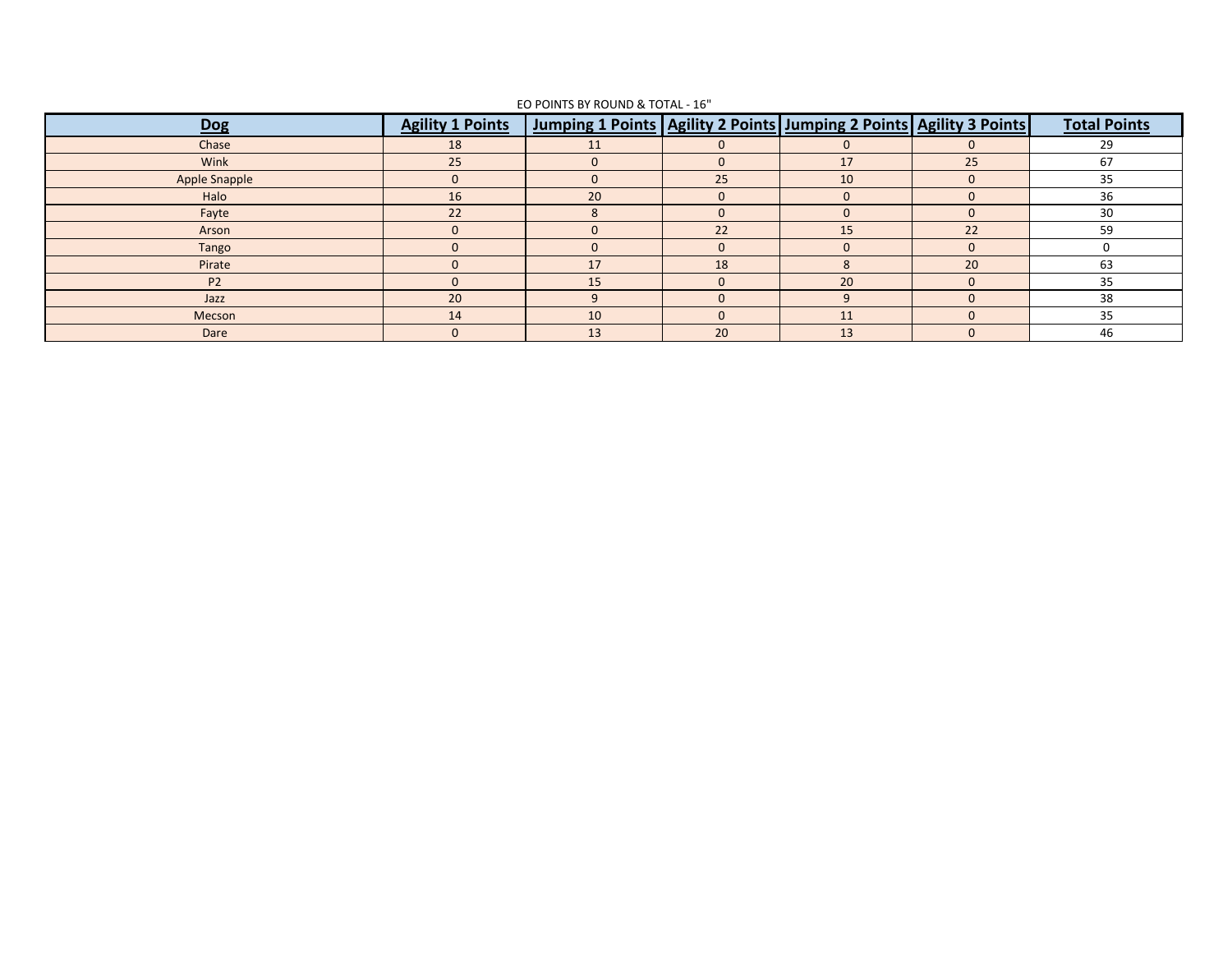| <b>Dog</b>           | <b>Agility 1 Points</b> | Jumping 1 Points   Agility 2 Points   Jumping 2 Points   Agility 3 Points |          |          |              | <b>Total Points</b> |  |
|----------------------|-------------------------|---------------------------------------------------------------------------|----------|----------|--------------|---------------------|--|
| Chase                | 18                      | 11                                                                        |          | $\Omega$ | $\Omega$     | 29                  |  |
| Wink                 | 25                      |                                                                           | $\Omega$ | 17       | 25           | 67                  |  |
| <b>Apple Snapple</b> | $\Omega$                |                                                                           | 25       | 10       | $\Omega$     | 35                  |  |
| Halo                 | 16                      | 20                                                                        | $\Omega$ | $\Omega$ | $\Omega$     | 36                  |  |
| Fayte                | 22                      |                                                                           | $\Omega$ | $\Omega$ | $\Omega$     | 30                  |  |
| Arson                | $\mathbf{0}$            |                                                                           | 22       | 15       | 22           | 59                  |  |
| Tango                | $\Omega$                |                                                                           | $\Omega$ | $\Omega$ | $\Omega$     |                     |  |
| Pirate               | $\Omega$                | 17                                                                        | 18       | 8        | 20           | 63                  |  |
| P <sub>2</sub>       | $\mathbf{0}$            | 15                                                                        | $\Omega$ | 20       | $\mathbf{0}$ | 35                  |  |
| Jazz                 | 20                      |                                                                           | $\Omega$ | 9        | $\mathbf{0}$ | 38                  |  |
| Mecson               | 14                      | 10                                                                        | $\Omega$ | 11       | $\Omega$     | 35                  |  |
| Dare                 | $\mathbf{0}$            | 13                                                                        | 20       | 13       | $\mathbf{0}$ | 46                  |  |

## EO POINTS BY ROUND & TOTAL - 16"